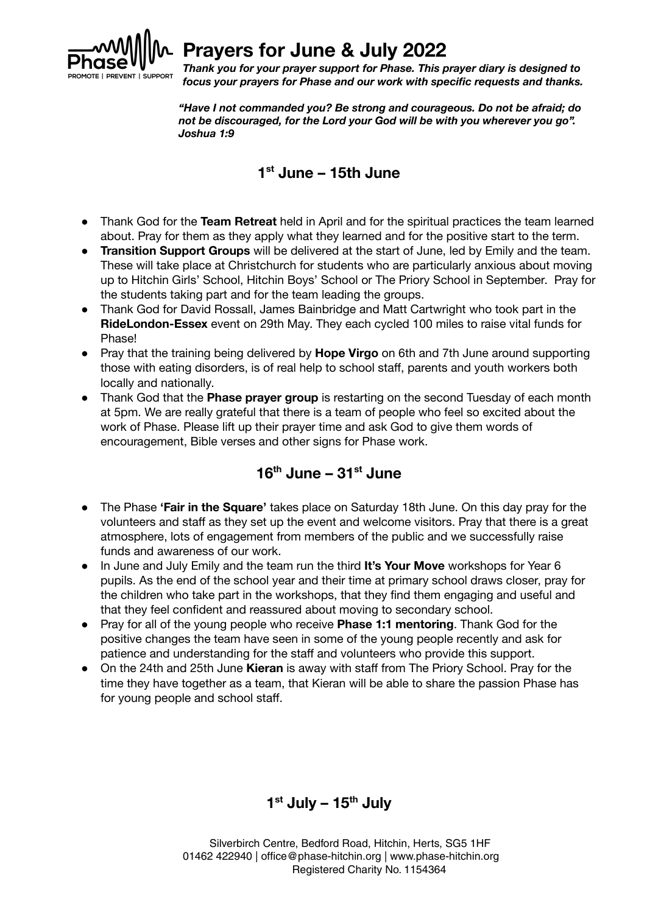

## **Prayers for June & July 2022**

*Thank you for your prayer support for Phase. This prayer diary is designed to focus your prayers for Phase and our work with specific requests and thanks.*

*"Have I not commanded you? Be strong and courageous. Do not be afraid; do not be discouraged, for the Lord your God will be with you wherever you go". Joshua 1:9*

#### **1 st June – 15th June**

- Thank God for the **Team Retreat** held in April and for the spiritual practices the team learned about. Pray for them as they apply what they learned and for the positive start to the term.
- **Transition Support Groups** will be delivered at the start of June, led by Emily and the team. These will take place at Christchurch for students who are particularly anxious about moving up to Hitchin Girls' School, Hitchin Boys' School or The Priory School in September. Pray for the students taking part and for the team leading the groups.
- Thank God for David Rossall, James Bainbridge and Matt Cartwright who took part in the **RideLondon-Essex** event on 29th May. They each cycled 100 miles to raise vital funds for Phase!
- Pray that the training being delivered by **Hope Virgo** on 6th and 7th June around supporting those with eating disorders, is of real help to school staff, parents and youth workers both locally and nationally.
- Thank God that the **Phase prayer group** is restarting on the second Tuesday of each month at 5pm. We are really grateful that there is a team of people who feel so excited about the work of Phase. Please lift up their prayer time and ask God to give them words of encouragement, Bible verses and other signs for Phase work.

#### **16 th June – 31 st June**

- The Phase **'Fair in the Square'** takes place on Saturday 18th June. On this day pray for the volunteers and staff as they set up the event and welcome visitors. Pray that there is a great atmosphere, lots of engagement from members of the public and we successfully raise funds and awareness of our work.
- In June and July Emily and the team run the third **It's Your Move** workshops for Year 6 pupils. As the end of the school year and their time at primary school draws closer, pray for the children who take part in the workshops, that they find them engaging and useful and that they feel confident and reassured about moving to secondary school.
- Pray for all of the young people who receive **Phase 1:1 mentoring**. Thank God for the positive changes the team have seen in some of the young people recently and ask for patience and understanding for the staff and volunteers who provide this support.
- On the 24th and 25th June **Kieran** is away with staff from The Priory School. Pray for the time they have together as a team, that Kieran will be able to share the passion Phase has for young people and school staff.

## **1 st July – 15 th July**